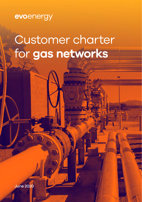evoenergy

# Customer charter for **gas networks**

June 2020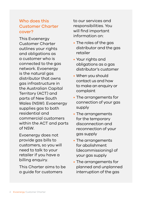# Who does this Customer Charter cover?

This Evoenergy Customer Charter outlines your rights and obligations as a customer who is connected to the gas network. Evoenergy is the natural gas distributor that owns gas infrastructure in the Australian Capital Territory (ACT) and parts of New South Wales (NSW). Evoenergy supplies gas to both residential and commercial customers within the ACT and parts of NSW.

Evoenergy does not provide gas bills to customers, so you will need to talk to your retailer if you have a billing enquiry.

This Charter aims to be a guide for customers

to our services and responsibilities. You will find important information on:

- The roles of the gas distributor and the gas retailer
- Your rights and obligations as a gas distributor's customer
- When you should contact us and how to make an enquiry or complaint
- The arrangements for connection of your gas supply
- The arrangements for the temporary disconnection and reconnection of your gas supply
- The arrangements for abolishment (decommissioning) of your gas supply
- The arrangements for planned and unplanned interruption of the gas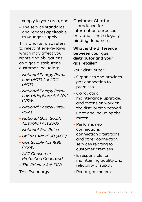supply to your area, and

• The service standards and rebates applicable to your gas supply

This Charter also refers to relevant energy laws which may affect your rights and obligations as a gas distributor's customer, including:

- *• National Energy Retail Law (ACT) Act 2012 (ACT)*
- *• National Energy Retail Law (Adoption) Act 2012 (NSW)*
- *• National Energy Retail Rules*
- *• National Gas (South Australia) Act 2008*
- *• National Gas Rules*
- *• Utilities Act 2000 (ACT)*
- *• Gas Supply Act 1996 (NSW)*
- *• ACT Consumer Protection Code, and*
- *• The Privacy Act 1988*

This Evoenergy

Customer Charter is produced for information purposes only and is not a legally binding document.

#### **What is the difference between your gas distributor and your gas retailer?**

Your distributor:

- Organises and provides gas connection to premises
- Conducts all maintenance, upgrade, and extension work on the distribution network up to and including the meter
- Performs new connections, connection alterations, and other connection services relating to customer premises
- Is responsible for maintaining quality and reliability of supply
- Reads aas meters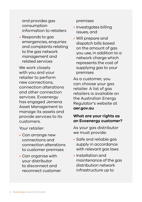and provides gas consumption information to retailers

• Responds to gas emergencies, enquiries and complaints relating to the gas network management and related services

We work closely with you and your retailer to perform new connections, connection alterations and other connection services. Evoenergy has engaged Jemena Asset Management to manage its assets and provide services to its customers.

Your retailer:

- Can arrange new connections and connection alterations to customer premises
- Can organise with your distributor to disconnect and reconnect customer

premises

- Investigates billing issues, and
- Will prepare and dispatch bills based on the amount of gas you use, in addition to a network charge which represents the cost of supplying gas to your premises

As a customer, you can choose your gas retailer. A list of gas retailers is available on the Australian Energy Regulator's website at

#### **aer.gov.au**

#### **What are your rights as an Evoenergy customer?**

As your gas distributor we must provide:

- Safe and reliable gas supply in accordance with relevant gas laws
- Installation and maintenance of the gas distribution network infrastructure up to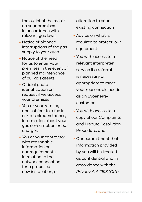the outlet of the meter on your premises in accordance with relevant gas laws

- Notice of planned interruptions of the gas supply to your area
- Notice of the need for us to enter your premises in the event of planned maintenance of our gas assets
- Official photo identification on request if we access your premises
- You or your retailer, and subject to a fee in certain circumstances, information about your gas consumption or our charges
- You or your contractor with reasonable information on our requirements in relation to the network connection for a proposed new installation, or

alteration to your existing connection

- Advice on what is required to protect our equipment
- You with access to a relevant interpreter service if a referral is necessary or appropriate to meet your reasonable needs as an Evoenergy customer
- You with access to a copy of our Complaints and Dispute Resolution Procedure, and
- Our commitment that information provided by you will be treated as confidential and in accordance with the *Privacy Act 1998 (Cth)*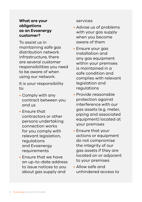#### **What are your obligations as an Evoenergy customer?**

To assist us in maintaining safe gas distribution network infrastructure, there are several customer responsibilities you need to be aware of when using our network.

It is your responsibility to:

- Comply with any contract between you and us
- Ensure that contractors or other persons undertaking connection works for you comply with relevant legislation, regulations and Evoenergy requirements
- Ensure that we have an up-to-date address to issue notices to you about gas supply and

services

- Advise us of problems with your gas supply when you become aware of them
- Ensure your gas installation and any gas equipment within your premises is maintained in a safe condition and complies with relevant legislation and regulations
- Provide reasonable protection against interference with our gas assets (e.g. meter, piping and associated equipment) located at your premises
- Ensure that your actions or equipment do not compromise the integrity of our gas assets if they are located on or adjacent to your premises
- Allow safe and unhindered access to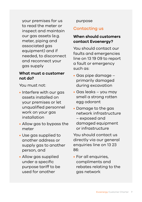your premises for us to read the meter or inspect and maintain our gas assets (e.g. meter, piping and associated gas equipment) and if needed, to disconnect and reconnect your gas supply

#### **What must a customer not do?**

You must not:

- Interfere with our gas assets installed on your premises or let unqualified personnel work on your gas installation
- Allow gas to bypass the meter
- Use gas supplied to another address or supply gas to another person, and
- Allow gas supplied under a specific purpose tariff to be used for another

#### purpose

# Contacting us

## **When should customers contact Evoenergy?**

You should contact our faults and emergencies line on 13 19 09 to report a fault or emergency such as:

- Gas pipe damage primarily damaged during excavation
- Gas leaks you may smell a strong rotten egg odorant
- Damage to the gas network infrastructure – exposed and damaged equipment or infrastructure

You should contact us directly via our general enquiries line on 13 23  $86.$ 

• For all enquiries, compliments and rebates relating to the gas network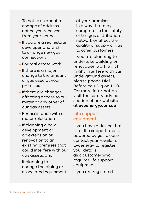- To notify us about a change of address notice you received from your council
- If you are a real estate developer and wish to arrange new gas connections
- For real estate work
- If there is a major change to the amount of gas used at your premises
- If there are changes affecting access to our meter or any other of our gas assets
- For assistance with a meter relocation
- If planning a new development or an extension or renovation to an existing premises that could interfere with our gas assets, and
- If planning to change the piping or associated equipment

at your premises in a way that may compromise the safety of the gas distribution network or affect the quality of supply of gas to other customers

If you are planning to undertake building or renovation work which might interfere with our underground assets, please phone Dial Before You Dig on 1100. For more information visit the safety advice section of our website at **evoenergy.com.au**

# Life support equipment

If you have a device that is for life support and is powered by gas please contact your retailer or Evoenergy to register your details as a customer who requires life support equipment.

If you are registered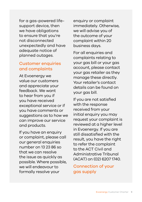for a gas-powered lifesupport device, then we have obligations to ensure that you're not disconnected unexpectedly and have adequate notice of planned outages.

#### Customer enquiries and complaints

At Evoenergy we value our customers and appreciate your feedback. We want to hear from you if you have received exceptional service or if you have comments or suggestions as to how we can improve our service and products.

If you have an enquiry or complaint, please call our general enquiries number on 13 23 86 so that we can resolve the issue as quickly as possible. Where possible, we will endeavour to formally resolve your

enquiry or complaint immediately. Otherwise, we will advise you of the outcome of your complaint within 20 business days.

For all enquiries and complaints relating to your gas bill or your gas account, please contact your gas retailer as they manage these directly. Your retailer's contact details can be found on your gas bill.

If you are not satisfied with the response received from your initial enquiry you may request your complaint is reviewed at a higher level in Evoenergy. If you are still dissatisfied with the result, you have the right to refer the complaint to the ACT Civil and Administrative Tribunal (ACAT) on (02) 6207 1740.

Connection of your gas supply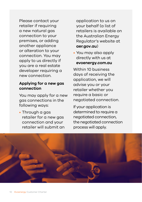Please contact your retailer if requiring a new natural gas connection to your premises, or adding another appliance or alteration to your connection. You may apply to us directly if you are a real estate developer requiring a new connection.

#### **Applying for a new gas connection**

You may apply for a new gas connections in the following ways:

• Through a gas retailer for a new gas connection and your retailer will submit an

application to us on your behalf (a list of retailers is available on the Australian Energy Regulator's website at **aer.gov.au**)

• You may also apply directly with us at **evoenergy.com.au**

Within 10 business days of receiving the application, we will advise you or your retailer whether you require a basic or negotiated connection.

If your application is determined to require a negotiated connection, the negotiated connection process will apply.

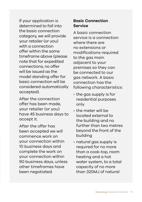If your application is determined to fall into the basic connection category, we will provide your retailer (or you) with a connection offer within the same timeframe above (please note that for expedited connections, no offer will be issued as the model standing offer for basic connection will be considered automatically accepted).

After the connection offer has been made, your retailer (or you) have 45 business days to accept it.

After the offer has been accepted we will commence work on your connection within 10 business days and complete the work on your connection within 90 business days, unless other timeframes have been negotiated.

#### **Basic Connection Service**

A basic connection service is a connection where there are no extensions or modifications required to the gas main adjacent to your premises so they can be connected to our gas network. A basic connection has the following characteristics:

- the gas supply is for residential purposes only
- the meter will be located external to the building and no further than two metres beyond the front of the building
- natural gas supply is required for no more than a cook-top, room heating and a hot water system, to a total capacity of no more than 320MJ of natural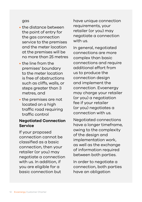#### gas

- the distance between the point of entry for the gas connection service to the premises and the meter location at the premises will be no more than 25 metres
- the line from the premises' boundary to the meter location is free of obstructions such as cliffs, walls, or steps greater than 3 metres, and
- the premises are not located on a high traffic road requiring traffic control

#### **Negotiated Connection Service**

If your proposed connection cannot be classified as a basic connection, then your retailer (or you) may negotiate a connection with us. In addition, if you are eligible for a basic connection but

have unique connection requirements, your retailer (or you) may negotiate a connection with us.

In general, negotiated connections are more complex than basic connections and require additional effort from us to produce the connection design and implement the connection. Evoenergy may charge your retailer (or you) a negotiation fee if your retailer (or you) negotiates a connection with us.

Negotiated connections have a longer timeframe, owing to the complexity of the design and implementation work, as well as the exchange of information required between both parties.

In order to negotiate a connection, both parties have an obligation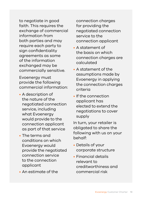to negotiate in good faith. This requires the exchange of commercial information from both parties and may require each party to sign confidentiality agreements as some of the information exchanged may be commercially sensitive.

Evoenergy must provide the following commercial information:

- A description of the nature of the negotiated connection service, including what Evoenergy would provide to the connection applicant as part of that service
- The terms and conditions on which Evoenergy would provide the negotiated connection service to the connection applicant
- An estimate of the

connection charges for providing the negotiated connection service to the connection applicant

- A statement of the basis on which connection charges are calculated
- A statement of the assumptions made by Evoenergy in applying the connection charges criteria
- If the connection applicant has elected to extend the negotiations to cover supply

In turn, your retailer is obligated to share the following with us on your behalf:

- Details of your corporate structure
- Financial details relevant to creditworthiness and commercial risk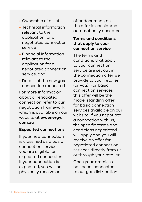- Ownership of assets
- Technical information relevant to the application for a negotiated connection service
- Financial information relevant to the application for a negotiated connection service, and
- Details of the new gas connection requested

For more information about a negotiated connection refer to our negotiation framework, which is available on our website at **evoenergy. com.au**

#### **Expedited connections**

If your new connection is classified as a basic connection service, you are eligible for expedited connection. If your connection is expedited, you will not physically receive an

offer document, as the offer is considered automatically accepted.

#### **Terms and conditions that apply to your connection service**

The terms and conditions that apply to your connection service are set out in the connection offer we provide to your retailer (or you). For basic connection services, this offer will be the model standing offer for basic connection services available on our website. If you negotiate a connection with us, the specific terms and conditions negotiated will apply and you will receive an offer for negotiated connection services directly from us or through your retailer.

Once your premises has been connected to our gas distribution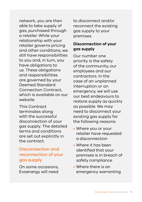network, you are then able to take supply of gas, purchased through a retailer. While your relationship with your retailer governs pricing and other conditions, we still have responsibilities to you and, in turn, you have obligations to us. These obligations and responsibilities are governed by your Deemed Standard Connection Contract, which is available on our website.

This Contract terminates along with the successful disconnection of your gas supply. The detailed terms and conditions are set out explicitly in the contract.

# Disconnection and reconnection of your gas supply

On some occasions, Evoenergy will need

to disconnect and/or reconnect the existing gas supply to your premises.

# **Disconnection of your gas supply**

Our number one priority is the safety of the community, our employees and our contractors. In the case of an unplanned interruption or an emergency, we will use our best endeavours to restore supply as quickly as possible. We may need to disconnect your existing gas supply for the following reasons:

- Where you or your retailer have requested a disconnection
- Where it has been identified that your premises is in breach of safety compliance
- Where there is an emergency warranting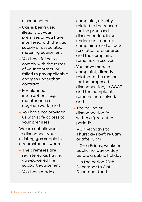disconnection

- Gas is being used illegally at your premises or you have interfered with the gas supply or associated metering equipment
- You have failed to comply with the terms of your contract, or failed to pay applicable charges under that contract
- For planned interruptions (e.g. maintenance or upgrade work), and
- You have not provided us with safe access to your premises

We are not allowed to disconnect your existing gas supply in circumstances where:

- The premises are registered as having gas-powered life support equipment
- You have made a

complaint, directly related to the reason for the proposed disconnection, to us under our standard complaints and dispute resolution procedures and the complaint remains unresolved

- You have made a complaint, directly related to the reason for the proposed disconnection, to ACAT and the complaint remains unresolved, and
- The period of disconnection falls within a 'protected period':
	- –On Mondays to Thursdays before 8am or after 3pm
	- –On a Friday, weekend, public holiday or day before a public holiday

–In the period 20th December to 31st December (both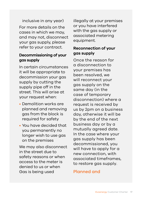inclusive in any year) For more details on the cases in which we may, and may not, disconnect your gas supply, please refer to your contract.

## **Decommissioning of your gas supply**

In certain circumstances it will be appropriate to decommission your gas supply by cutting the supply pipe off in the street. This will arise at your request when:

- Demolition works are planned and removing gas from the block is required for safety
- You have decided that you permanently no longer wish to use gas on the premises

We may also disconnect in the street due to safety reasons or when access to the meter is denied to us or when Gas is being used

illegally at your premises or you have interfered with the gas supply or associated metering equipment.

#### **Reconnection of your gas supply**

Once the reason for a disconnection to your premises has been resolved, we will reconnect your gas supply on the same day (in the case of temporary disconnection) where a request is received by us by 2pm on a business day, otherwise it will be by the end of the next business day or by a mutually agreed date. In the case where your gas supply has been decommissioned, you will have to apply for a new connection, with associated timeframes, to restore gas supply.

# Planned and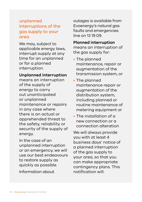# unplanned interruptions of the gas supply to your area

We may, subject to applicable energy laws, interrupt supply at any time for an unplanned or for a planned interruption.

#### **Unplanned interruption**

means an interruption of the supply of energy to carry out unanticipated or unplanned maintenance or repairs in any case where there is an actual or apprehended threat to the safety, reliability or security of the supply of energy.

In the case of an unplanned interruption or an emergency, we will use our best endeavours to restore supply as quickly as possible.

Information about

outages is available from Evoenergy's natural gas faults and emergencies line on 13 19 09.

#### **Planned interruption**

means an interruption of the gas supply for:

- The planned maintenance, repair or augmentation of the transmission system, or
- The planned maintenance repair or augmentation of the distribution system, including planned or routine maintenance of metering equipment or
- The installation of a new connection or a connection alteration

We will always provide you with at least 4 business days' notice of a planned interruption of the gas supply to your area, so that you can make appropriate contingency plans. This notification will: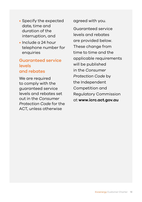- Specify the expected date, time and duration of the interruption, and
- Include a 24 hour telephone number for enquiries

# Guaranteed service levels and rebates

We are required to comply with the guaranteed service levels and rebates set out in the *Consumer Protection Code* for the ACT, unless otherwise

agreed with you.

Guaranteed service levels and rebates are provided below. These change from time to time and the applicable requirements will be published in the *Consumer Protection Code* by the Independent Competition and Regulatory Commission at **www.icrc.act.gov.au**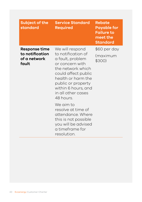| <b>Subject of the</b><br>standard                                | <b>Service Standard</b><br><b>Required</b>                                                                                                                                                                                     | <b>Rebate</b><br><b>Payable for</b><br><b>Failure to</b><br>meet the<br><b>Standard</b> |
|------------------------------------------------------------------|--------------------------------------------------------------------------------------------------------------------------------------------------------------------------------------------------------------------------------|-----------------------------------------------------------------------------------------|
| <b>Response time</b><br>to notification<br>of a network<br>fault | We will respond<br>to notification of<br>a fault, problem<br>or concern with<br>the network which<br>could affect public<br>health or harm the<br>public or property<br>within 6 hours, and<br>in all other cases<br>48 hours. | \$60 per day<br>(maximum<br>\$300)                                                      |
|                                                                  | We aim to<br>resolve at time of<br>attendance. Where<br>this is not possible<br>you will be advised<br>a timeframe for<br>resolution.                                                                                          |                                                                                         |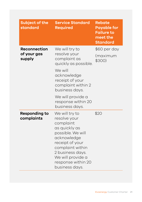| <b>Subject of the</b><br>standard            | <b>Service Standard</b><br><b>Required</b>                                                                                                                                                                               | <b>Rebate</b><br><b>Payable for</b><br><b>Failure to</b><br>meet the<br><b>Standard</b> |
|----------------------------------------------|--------------------------------------------------------------------------------------------------------------------------------------------------------------------------------------------------------------------------|-----------------------------------------------------------------------------------------|
| <b>Reconnection</b><br>of your gas<br>supply | We will try to<br>resolve your<br>complaint as<br>quickly as possible.<br>We will<br>acknowledge<br>receipt of your<br>complaint within 2                                                                                | \$60 per day<br>(maximum<br>\$300)                                                      |
|                                              | business days.<br>We will provide a<br>response within 20<br>business days.                                                                                                                                              |                                                                                         |
| <b>Responding to</b><br>complaints           | We will try to<br>resolve your<br>complaint<br>as quickly as<br>possible. We will<br>acknowledge<br>receipt of your<br>complaint within<br>2 business days.<br>We will provide a<br>response within 20<br>business days. | \$20                                                                                    |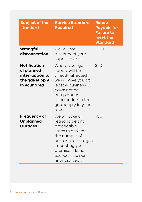| <b>Subject of the</b><br>standard                                                      | <b>Service Standard</b><br><b>Required</b>                                                                                                                                              | <b>Rebate</b><br><b>Payable for</b><br><b>Failure to</b><br>meet the<br><b>Standard</b> |
|----------------------------------------------------------------------------------------|-----------------------------------------------------------------------------------------------------------------------------------------------------------------------------------------|-----------------------------------------------------------------------------------------|
| Wrongful<br>disconnection                                                              | We will not<br>disconnect your<br>supply in error.                                                                                                                                      | \$100                                                                                   |
| <b>Notification</b><br>of planned<br>interruption to<br>the gas supply<br>in your area | Where your gas<br>supply will be<br>directly affected,<br>we will give you at<br>least 4 business<br>days' notice<br>of a planned<br>interruption to the<br>gas supply in your<br>area. | \$50                                                                                    |
| <b>Frequency of</b><br><b>Unplanned</b><br><b>Outages</b>                              | We will take all<br>reasonable and<br>practicable<br>steps to ensure<br>the number of<br>unplanned outages<br>impacting your<br>premises do not<br>exceed nine per<br>financial year.   | \$80                                                                                    |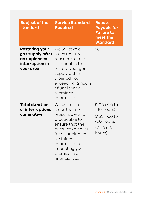| <b>Subject of the</b><br>standard                                                         | <b>Service Standard</b><br><b>Required</b>                                                                                                                                                                            | <b>Rebate</b><br><b>Payable for</b><br><b>Failure to</b><br>meet the<br><b>Standard</b> |
|-------------------------------------------------------------------------------------------|-----------------------------------------------------------------------------------------------------------------------------------------------------------------------------------------------------------------------|-----------------------------------------------------------------------------------------|
| <b>Restoring your</b><br>gas supply after<br>an unplanned<br>interruption in<br>your area | We will take all<br>steps that are<br>reasonable and<br>practicable to<br>restore your gas<br>supply within<br>a period not<br>exceeding 12 hours<br>of unplanned<br>sustained<br>interruption.                       | \$80                                                                                    |
| <b>Total duration</b><br>of interruptions<br>cumulative                                   | We will take all<br>steps that are<br>reasonable and<br>practicable to<br>ensure that the<br>cumulative hours<br>for all unplanned<br>sustained<br>interruptions<br>impacting your<br>premise in a<br>financial year. | $$100 (>20$ to<br><30 hours)<br>\$150 (>30 to<br><60 hours)<br>\$300 (>60<br>hours)     |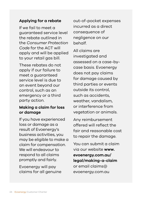#### **Applying for a rebate**

If we fail to meet a guaranteed service level the rebate outlined in the *Consumer Protection Code* for the ACT will apply and will be applied to your retail gas bill.

These rebates do not apply if our failure to meet a guaranteed service level is due to an event beyond our control, such as an emergency or a third party action.

## **Making a claim for loss or damage**

If you have experienced loss or damage as a result of Evoenergy's business activities, you may be eligible to make a claim for compensation. We will endeavour to respond to all claims promptly and fairly.

Evoenergy will pay claims for all genuine out-of-pocket expenses incurred as a direct consequence of negligence on our behalf.

All claims are investigated and assessed on a case-bycase basis. Evoenergy does not pay claims for damage caused by third parties or events outside its control, such as accidents, weather, vandalism, or interference from vegetation or animals.

Any reimbursement offered will reflect the fair and reasonable cost to repair the damage.

You can submit a claim via our website **www. evoenergy.com.au/ legal/making-a-claim** or email claims@ evoenergy.com.au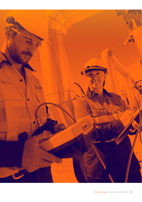